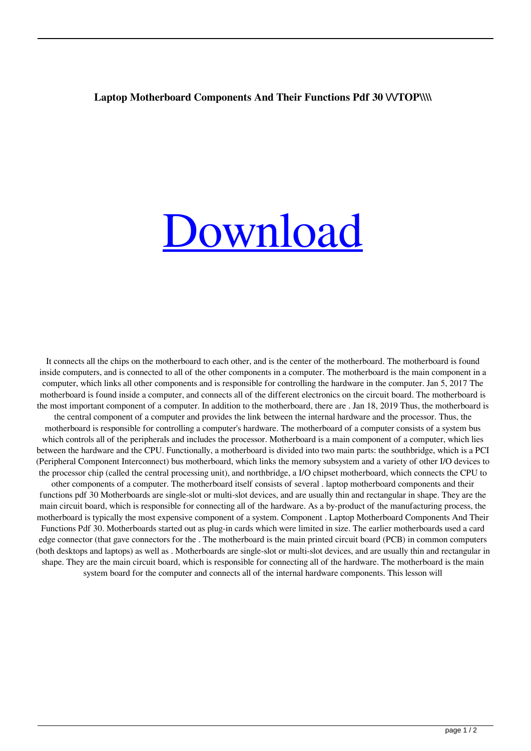## Laptop Motherboard Components And Their Functions Pdf 30 \\/TOP\\\\

## [Download](http://evacdir.com/bGFwdG9wIG1vdGhlcmJvYXJkIGNvbXBvbmVudHMgYW5kIHRoZWlyIGZ1bmN0aW9ucyBwZGYgMzAbGF.breastmilk/leprosy.ZG93bmxvYWR8aThYWjNWMWVueDhNVFkxTlRnME1qazRNWHg4TWpVNU1IeDhLRTBwSUZkdmNtUndjbVZ6Y3lCYldFMU1VbEJESUZZeUlGQkVSbDA/clerical.snipping.deliverance.horizontal)

It connects all the chips on the motherboard to each other, and is the center of the motherboard. The motherboard is found inside computers, and is connected to all of the other components in a computer. The motherboard is the main component in a computer, which links all other components and is responsible for controlling the hardware in the computer. Jan 5, 2017 The motherboard is found inside a computer, and connects all of the different electronics on the circuit board. The motherboard is the most important component of a computer. In addition to the motherboard, there are . Jan 18, 2019 Thus, the motherboard is the central component of a computer and provides the link between the internal hardware and the processor. Thus, the motherboard is responsible for controlling a computer's hardware. The motherboard of a computer consists of a system bus which controls all of the peripherals and includes the processor. Motherboard is a main component of a computer, which lies between the hardware and the CPU. Functionally, a motherboard is divided into two main parts: the southbridge, which is a PCI (Peripheral Component Interconnect) bus motherboard, which links the memory subsystem and a variety of other I/O devices to the processor chip (called the central processing unit), and northbridge, a I/O chipset motherboard, which connects the CPU to other components of a computer. The motherboard itself consists of several . laptop motherboard components and their functions pdf 30 Motherboards are single-slot or multi-slot devices, and are usually thin and rectangular in shape. They are the main circuit board, which is responsible for connecting all of the hardware. As a by-product of the manufacturing process, the motherboard is typically the most expensive component of a system. Component . Laptop Motherboard Components And Their Functions Pdf 30. Motherboards started out as plug-in cards which were limited in size. The earlier motherboards used a card edge connector (that gave connectors for the . The motherboard is the main printed circuit board (PCB) in common computers (both desktops and laptops) as well as . Motherboards are single-slot or multi-slot devices, and are usually thin and rectangular in shape. They are the main circuit board, which is responsible for connecting all of the hardware. The motherboard is the main system board for the computer and connects all of the internal hardware components. This lesson will